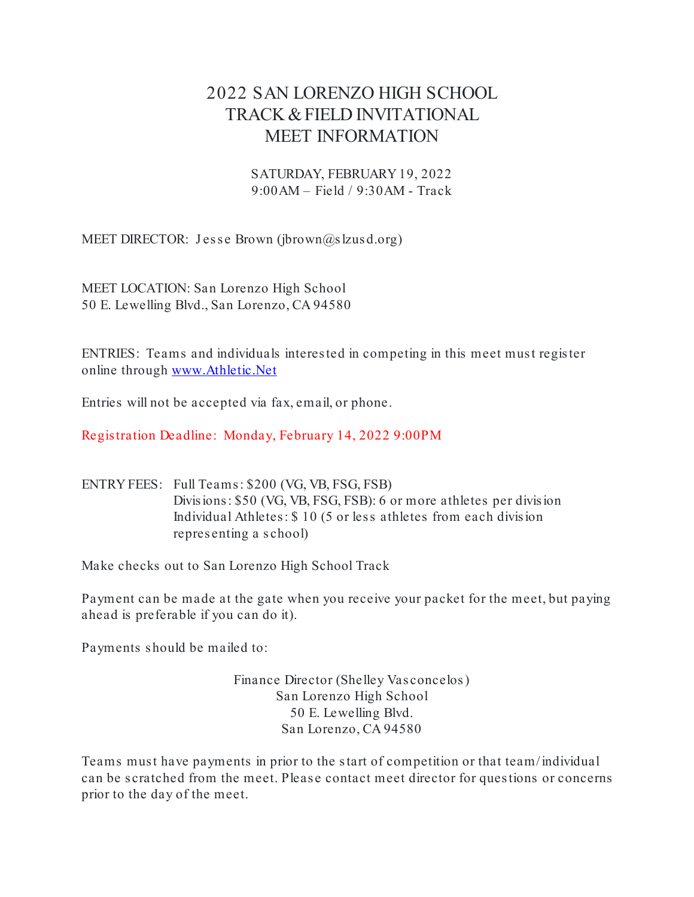# 2022 SAN LORENZO HIGH SCHOOL TRACK & FIELD INVITATIONAL MEET INFORMATION

# SATURDAY, FEBRUARY 19, 2022 9:00AM – Field / 9:30AM - Track

MEET DIRECTOR: Jesse Brown ( $\phi$ ibrown $\phi$ s lzus d.org)

MEET LOCATION: San Lorenzo High School 50 E. Lewelling Blvd., San Lorenzo, CA 94580

ENTRIES: Teams and individuals interes ted in competing in this meet mus t regis ter online through [www.Athletic.Net](http://www.athletic.net/)

Entries will not be accepted via fax, email, or phone.

Registration Deadline: Monday, February 14, 2022 9:00PM

ENTRY FEES: Full Teams : \$200 (VG, VB, FSG, FSB) Divis ions : \$50 (VG, VB, FSG, FSB): 6 or more athletes per divis ion Individual Athletes : \$ 10 (5 or les s athletes from each divis ion repres enting a s chool)

Make checks out to San Lorenzo High School Track

Payment can be made at the gate when you receive your packet for the meet, but paying ahead is preferable if you can do it).

Payments should be mailed to:

Finance Director (Shelley Vas concelos ) San Lorenzo High School 50 E. Lewelling Blvd. San Lorenzo, CA 94580

Teams must have payments in prior to the s tart of competition or that team/ individual can be scratched from the meet. Please contact meet director for questions or concerns prior to the day of the meet.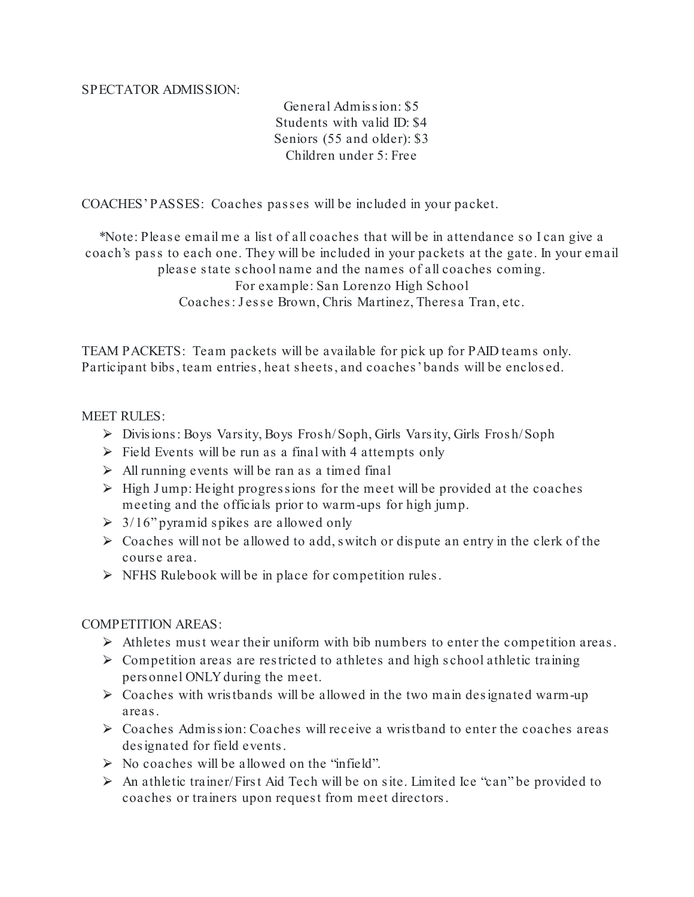### SPECTATOR ADMISSION:

General Admis s ion: \$5 Students with valid ID: \$4 Seniors (55 and older): \$3 Children under 5: Free

COACHES' PASSES: Coaches passes will be included in your packet.

\*Note: Please email me a list of all coaches that will be in attendance so I can give a coach's pas s to each one. They will be included in your packets at the gate. In your email pleas e s tate s chool name and the names of all coaches coming. For example: San Lorenzo High School Coaches: Jesse Brown, Chris Martinez, Theresa Tran, etc.

TEAM PACKETS: Team packets will be available for pick up for PAID teams only. Participant bibs , team entries , heat s heets , and coaches ' bands will be enclos ed.

### MEET RULES:

- ⮚ Divis ions : Boys Vars ity, Boys Fros h/ Soph, Girls Vars ity, Girls Fros h/ Soph
- $\triangleright$  Field Events will be run as a final with 4 attempts only
- $\triangleright$  All running events will be ran as a timed final
- $\triangleright$  High Jump: Height progressions for the meet will be provided at the coaches meeting and the officials prior to warm-ups for high jump.
- $>$  3/16" pyramid spikes are allowed only
- $\triangleright$  Coaches will not be allowed to add, switch or dispute an entry in the clerk of the course area.
- $\triangleright$  NFHS Rulebook will be in place for competition rules.

# COMPETITION AREAS:

- $\triangleright$  Athletes must wear their uniform with bib numbers to enter the competition areas.
- $\triangleright$  Competition areas are restricted to athletes and high school athletic training pers onnel ONLY during the meet.
- $\triangleright$  Coaches with wristbands will be allowed in the two main designated warm-up areas.
- $\triangleright$  Coaches Admission: Coaches will receive a wristband to enter the coaches areas des ignated for field events .
- $\triangleright$  No coaches will be allowed on the "infield".
- $\triangleright$  An athletic trainer/ First Aid Tech will be on site. Limited Ice "can" be provided to coaches or trainers upon request from meet directors.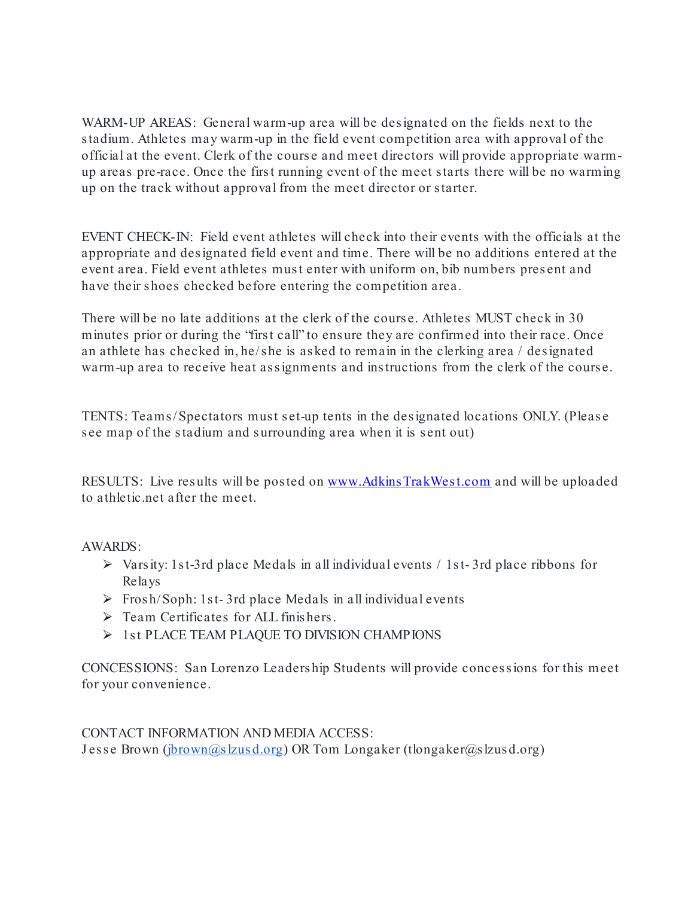WARM-UP AREAS: General warm-up area will be des ignated on the fields next to the s tadium. Athletes may warm-up in the field event competition area with approval of the official at the event. Clerk of the course and meet directors will provide appropriate warmup areas pre-race. Once the firs t running event of the meet starts there will be no warming up on the track without approval from the meet director or s tarter.

EVENT CHECK-IN: Field event athletes will check into their events with the officials at the appropriate and des ignated field event and time. There will be no additions entered at the event area. Field event athletes must enter with uniform on, bib numbers present and have their shoes checked before entering the competition area.

There will be no late additions at the clerk of the cours e. Athletes MUST check in 30 minutes prior or during the "first call" to ensure they are confirmed into their race. Once an athlete has checked in, he/she is asked to remain in the clerking area / designated warm-up area to receive heat assignments and instructions from the clerk of the course.

TENTS: Teams/Spectators must set-up tents in the designated locations ONLY. (Please see map of the stadium and surrounding area when it is sent out)

RESULTS: Live res ults will be pos ted on [www.Adkins TrakWes t.com](http://www.adkinstrakwest.com/) and will be uploaded to athletic.net after the meet.

# AWARDS:

- $\triangleright$  Varsity: 1st-3rd place Medals in all individual events / 1st-3rd place ribbons for Relays
- $\triangleright$  Frosh/Soph: 1st-3rd place Medals in all individual events
- $\triangleright$  Team Certificates for ALL finishers.
- $\triangleright$  1st PLACE TEAM PLAQUE TO DIVISION CHAMPIONS

CONCESSIONS: San Lorenzo Leaders hip Students will provide conces s ions for this meet for your convenience.

CONTACT INFORMATION AND MEDIA ACCESS: Jesse Brown ( $\frac{i}{i}$ brown $(a)$ s lzus d.org) OR Tom Longaker (tlongaker $(a)$ s lzus d.org)